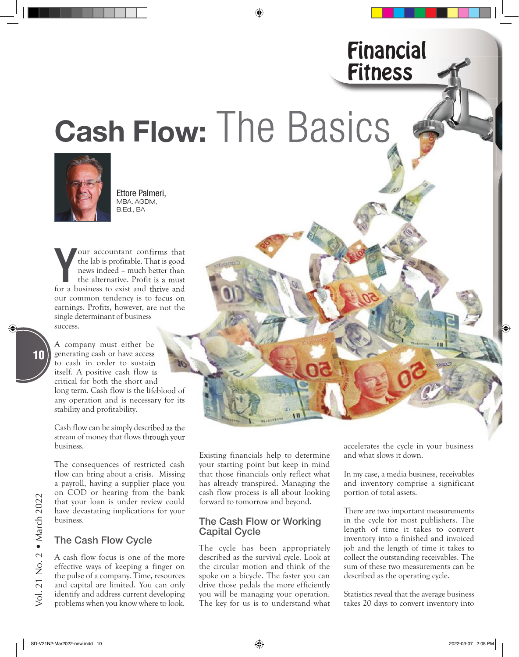# Cash Flow: The Basics



Ettore Palmeri, MBA, AGDM, B.Ed., BA

**Solution Constant Confirms** that the lab is profitable. That is good news indeed – much better than the alternative. Profit is a must for a business to exist and thrive and our accountant confirms that the lab is profitable. That is good news indeed – much better than the alternative. Profit is a must our common tendency is to focus on earnings. Profits, however, are not the single determinant of business success.

A company must either be generating cash or have access to cash in order to sustain itself. A positive cash flow is critical for both the short and long term. Cash flow is the lifeblood of any operation and is necessary for its stability and profitability.

Cash flow can be simply described as the stream of money that flows through your business. is the lifeblood of<br>
necessary for its<br>
lity.<br>
ly described as the<br>
lows through your<br>
Existing financials help to determine

The consequences of restricted cash flow can bring about a crisis. Missing a payroll, having a supplier place you on COD or hearing from the bank that your loan is under review could have devastating implications for your business.

#### The Cash Flow Cycle

A cash flow focus is one of the more effective ways of keeping a finger on the pulse of a company. Time, resources and capital are limited. You can only identify and address current developing problems when you know where to look.

your starting point but keep in mind that those financials only reflect what has already transpired. Managing the cash flow process is all about looking forward to tomorrow and beyond.

#### The Cash Flow or Working Capital Cycle

The cycle has been appropriately described as the survival cycle. Look at the circular motion and think of the spoke on a bicycle. The faster you can drive those pedals the more efficiently you will be managing your operation. The key for us is to understand what accelerates the cycle in your business and what slows it down.

Financial

**Fitness** 

In my case, a media business, receivables and inventory comprise a significant portion of total assets.

There are two important measurements in the cycle for most publishers. The length of time it takes to convert inventory into a finished and invoiced job and the length of time it takes to collect the outstanding receivables. The sum of these two measurements can be described as the operating cycle.

Statistics reveal that the average business takes 20 days to convert inventory into